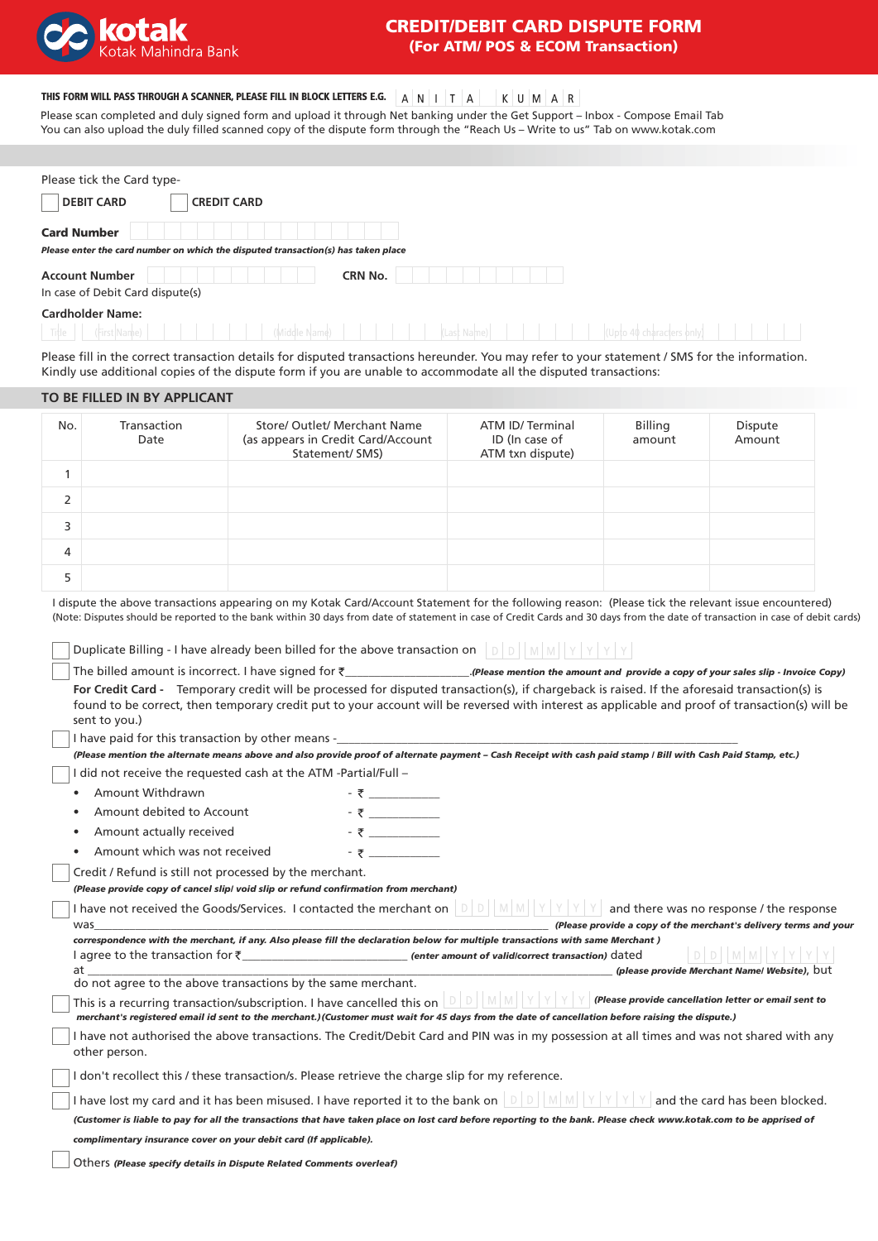

# CREDIT/DEBIT CARD DISPUTE FORM (For ATM/ POS & ECOM Transaction)

U M A R

| THIS FORM WILL PASS THROUGH A SCANNER, PLEASE FILL IN BLOCK LETTERS E.G. $\begin{array}{ c c c c c }\nA & A & A & A & A & A \end{array}$ |  |  |  |  |  |  |  |  |  |
|------------------------------------------------------------------------------------------------------------------------------------------|--|--|--|--|--|--|--|--|--|
|------------------------------------------------------------------------------------------------------------------------------------------|--|--|--|--|--|--|--|--|--|

Please scan completed and duly signed form and upload it through Net banking under the Get Support – Inbox - Compose Email Tab You can also upload the duly filled scanned copy of the dispute form through the "Reach Us – Write to us" Tab on www.kotak.com

| Please tick the Card type-                                                                                                                    |
|-----------------------------------------------------------------------------------------------------------------------------------------------|
| <b>DEBIT CARD</b><br><b>CREDIT CARD</b>                                                                                                       |
| <b>Card Number</b><br>Please enter the card number on which the disputed transaction(s) has taken place                                       |
| <b>Account Number</b><br><b>CRN No.</b><br>In case of Debit Card dispute(s)                                                                   |
| <b>Cardholder Name:</b><br>Title<br>(First Name)<br>Miccle Name<br>Last Name)                                                                 |
| Plasse fill in the correct transaction details for disputed transactions bereunder. You may refer to your statement / SMS for the information |

: fill in the correct transaction details for disputed transactions hereunder. You may refer to your statement / SMS for the informat Kindly use additional copies of the dispute form if you are unable to accommodate all the disputed transactions:

# **TO BE FILLED IN BY APPLICANT**

| No. | Transaction<br>Date | Store/ Outlet/ Merchant Name<br>(as appears in Credit Card/Account<br>Statement/ SMS) | ATM ID/Terminal<br>ID (In case of<br>ATM txn dispute) | Billing<br>amount | Dispute<br>Amount |
|-----|---------------------|---------------------------------------------------------------------------------------|-------------------------------------------------------|-------------------|-------------------|
|     |                     |                                                                                       |                                                       |                   |                   |
| 2   |                     |                                                                                       |                                                       |                   |                   |
| 3   |                     |                                                                                       |                                                       |                   |                   |
| 4   |                     |                                                                                       |                                                       |                   |                   |
| 5   |                     |                                                                                       |                                                       |                   |                   |

I dispute the above transactions appearing on my Kotak Card/Account Statement for the following reason: (Please tick the relevant issue encountered) (Note: Disputes should be reported to the bank within 30 days from date of statement in case of Credit Cards and 30 days from the date of transaction in case of debit cards)

Duplicate Billing - I have already been billed for the above transaction on  $||D||D||||M||V||Y||Y||Y||$ 

| The billed amount is incorrect. I have signed for $\bar{\tau}$<br>(Please mention the amount and provide a copy of your sales slip - Invoice Copy). |
|-----------------------------------------------------------------------------------------------------------------------------------------------------|
| For Credit Card - Temporary credit will be processed for disputed transaction(s), if chargeback is raised. If the aforesaid transaction(s) is       |
| found to be correct, then temporary credit put to your account will be reversed with interest as applicable and proof of transaction(s) will be     |
| sent to you.)                                                                                                                                       |
| l hava naid farthic transaction by other means                                                                                                      |

I have paid for this transaction by other means -\_

I did not receive the requested cash at the ATM -Partial/Full -*(Please mention the alternate means above and also provide proof of alternate payment – Cash Receipt with cash paid stamp / Bill with Cash Paid Stamp, etc.)* 

- Amount Withdrawn \_\_\_\_\_\_\_\_\_\_\_\_ •
- Amount debited to Account • \_\_\_\_\_\_\_\_\_\_\_\_
- Amount actually received •  $\bar{\tau}$
- Amount which was not received •  $\overline{z}$   $-$

Credit / Refund is still not processed by the merchant.

*(Please provide copy of cancel slip/ void slip or refund confirmation from merchant)*

| I have not received the Goods/Services. I contacted the merchant on                                                            | and there was no response / the response                         |
|--------------------------------------------------------------------------------------------------------------------------------|------------------------------------------------------------------|
| was                                                                                                                            | (Please provide a copy of the merchant's delivery terms and your |
| correspondence with the merchant, if any. Also please fill the declaration below for multiple transactions with same Merchant) |                                                                  |

 $|D|D||M|M||Y|Y|Y|Y$ I agree to the transaction for ₹\_\_\_\_\_\_\_\_\_\_\_\_\_\_\_\_\_\_\_\_\_\_\_\_\_\_\_\_\_ (enter amount of valid/correct transaction) dated at \_\_\_\_\_\_\_\_\_\_\_\_\_\_\_\_\_\_\_\_\_\_\_\_\_\_\_\_\_\_\_\_\_\_\_\_\_\_\_\_\_\_\_\_\_\_\_\_\_\_\_\_\_\_\_\_\_\_\_\_\_\_\_\_\_\_\_\_\_\_\_\_\_\_\_\_\_\_\_\_\_\_\_\_\_\_\_\_\_ *(please provide Merchant Name/ Website)*, but

do not agree to the above transactions by the same merchant.

| This is a recurring transaction/subscription. I have cancelled this on $\Box$                                                                    |  |  |  | Please provide cancellation letter or email sent to |
|--------------------------------------------------------------------------------------------------------------------------------------------------|--|--|--|-----------------------------------------------------|
| merchant's registered email id sent to the merchant.) (Customer must wait for 45 days from the date of cancellation before raising the dispute.) |  |  |  |                                                     |

I have not authorised the above transactions. The Credit/Debit Card and PIN was in my possession at all times and was not shared with any other person.

I don't recollect this / these transaction/s. Please retrieve the charge slip for my reference.

I have lost my card and it has been misused. I have reported it to the bank on  $\|D\|D\|M\|N\|Y|Y|Y$  and the card has been blocked. *(Customer is liable to pay for all the transactions that have taken place on lost card before reporting to the bank. Please check www.kotak.com to be apprised of* 

*complimentary insurance cover on your debit card (If applicable).*

Others *(Please specify details in Dispute Related Comments overleaf)*